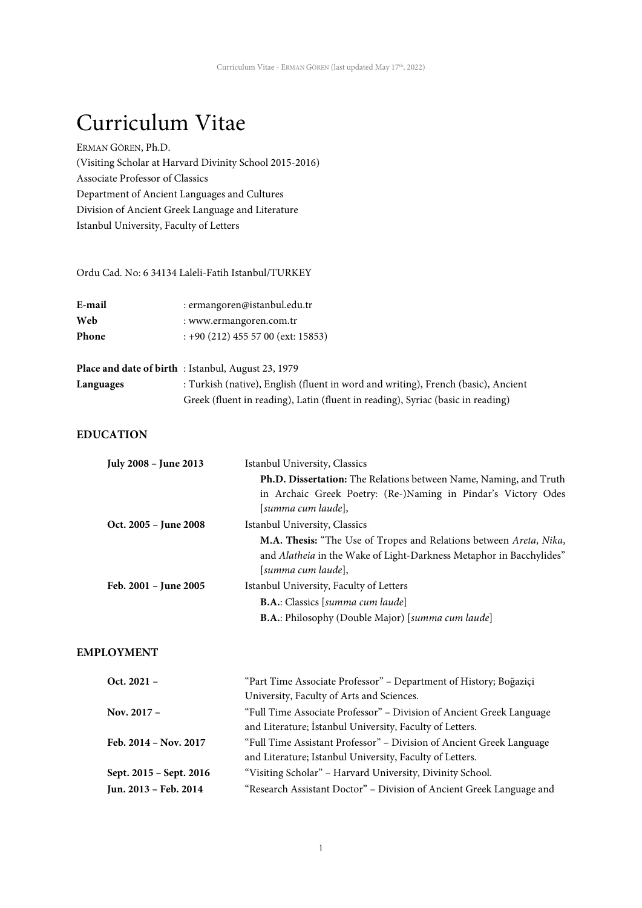# Curriculum Vitae

ERMAN GÖREN, Ph.D. (Visiting Scholar at Harvard Divinity School 2015-2016) Associate Professor of Classics Department of Ancient Languages and Cultures Division of Ancient Greek Language and Literature Istanbul University, Faculty of Letters

Ordu Cad. No: 6 34134 Laleli-Fatih Istanbul/TURKEY

| E-mail       | : ermangoren@istanbul.edu.tr        |
|--------------|-------------------------------------|
| Web          | : www.ermangoren.com.tr             |
| <b>Phone</b> | $: +90(212)$ 455 57 00 (ext: 15853) |

|           | <b>Place and date of birth</b> : Istanbul, August 23, 1979                        |
|-----------|-----------------------------------------------------------------------------------|
| Languages | : Turkish (native), English (fluent in word and writing), French (basic), Ancient |
|           | Greek (fluent in reading), Latin (fluent in reading), Syriac (basic in reading)   |

# **EDUCATION**

| <b>July 2008 - June 2013</b> | Istanbul University, Classics                                                                                                                                   |  |  |  |
|------------------------------|-----------------------------------------------------------------------------------------------------------------------------------------------------------------|--|--|--|
|                              | Ph.D. Dissertation: The Relations between Name, Naming, and Truth                                                                                               |  |  |  |
|                              | in Archaic Greek Poetry: (Re-)Naming in Pindar's Victory Odes                                                                                                   |  |  |  |
|                              | [summa cum laude],                                                                                                                                              |  |  |  |
| Oct. 2005 – June 2008        | Istanbul University, Classics                                                                                                                                   |  |  |  |
|                              | M.A. Thesis: "The Use of Tropes and Relations between Areta, Nika,<br>and Alatheia in the Wake of Light-Darkness Metaphor in Bacchylides"<br>[summa cum laude], |  |  |  |
| Feb. 2001 - June 2005        | Istanbul University, Faculty of Letters                                                                                                                         |  |  |  |
|                              | <b>B.A.:</b> Classics [summa cum laude]                                                                                                                         |  |  |  |
|                              | <b>B.A.:</b> Philosophy (Double Major) [summa cum laude]                                                                                                        |  |  |  |

# **EMPLOYMENT**

| Oct. $2021 -$           | "Part Time Associate Professor" - Department of History; Boğaziçi    |
|-------------------------|----------------------------------------------------------------------|
|                         | University, Faculty of Arts and Sciences.                            |
| Nov. $2017 -$           | "Full Time Associate Professor" – Division of Ancient Greek Language |
|                         | and Literature; İstanbul University, Faculty of Letters.             |
| Feb. 2014 - Nov. 2017   | "Full Time Assistant Professor" – Division of Ancient Greek Language |
|                         | and Literature; Istanbul University, Faculty of Letters.             |
| Sept. 2015 - Sept. 2016 | "Visiting Scholar" - Harvard University, Divinity School.            |
| Jun. 2013 - Feb. 2014   | "Research Assistant Doctor" - Division of Ancient Greek Language and |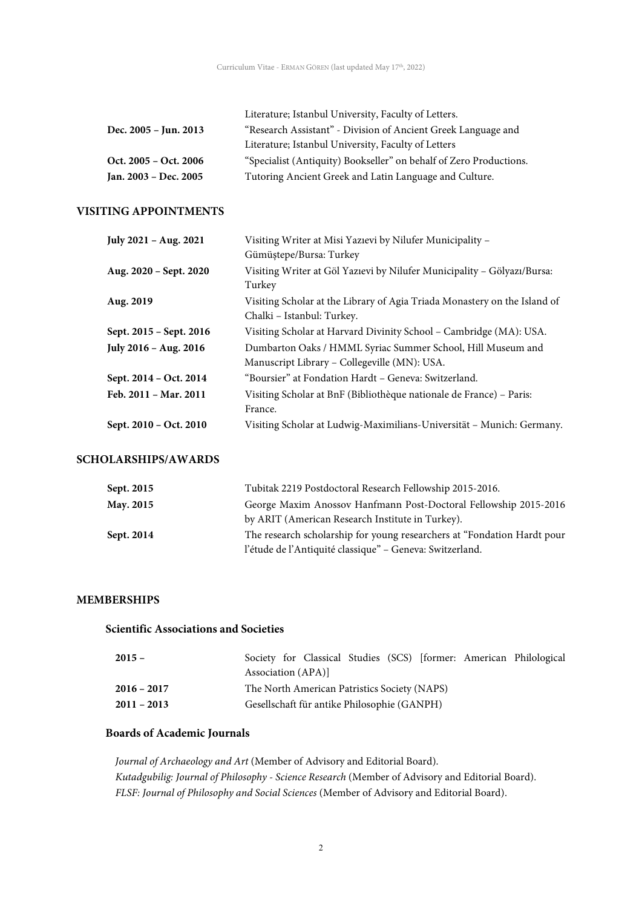|                       | Literature; Istanbul University, Faculty of Letters.               |
|-----------------------|--------------------------------------------------------------------|
| Dec. 2005 – Jun. 2013 | "Research Assistant" - Division of Ancient Greek Language and      |
|                       | Literature; Istanbul University, Faculty of Letters                |
| Oct. 2005 – Oct. 2006 | "Specialist (Antiquity) Bookseller" on behalf of Zero Productions. |
| Jan. 2003 - Dec. 2005 | Tutoring Ancient Greek and Latin Language and Culture.             |

# **VISITING APPOINTMENTS**

| July 2021 - Aug. 2021   | Visiting Writer at Misi Yazıevi by Nilufer Municipality -                 |
|-------------------------|---------------------------------------------------------------------------|
|                         | Gümüştepe/Bursa: Turkey                                                   |
| Aug. 2020 – Sept. 2020  | Visiting Writer at Göl Yazıevi by Nilufer Municipality - Gölyazı/Bursa:   |
|                         | Turkey                                                                    |
| Aug. 2019               | Visiting Scholar at the Library of Agia Triada Monastery on the Island of |
|                         | Chalki – Istanbul: Turkey.                                                |
| Sept. 2015 - Sept. 2016 | Visiting Scholar at Harvard Divinity School - Cambridge (MA): USA.        |
| July 2016 - Aug. 2016   | Dumbarton Oaks / HMML Syriac Summer School, Hill Museum and               |
|                         | Manuscript Library – Collegeville (MN): USA.                              |
| Sept. 2014 - Oct. 2014  | "Boursier" at Fondation Hardt – Geneva: Switzerland.                      |
| Feb. 2011 - Mar. 2011   | Visiting Scholar at BnF (Bibliothèque nationale de France) – Paris:       |
|                         | France.                                                                   |
| Sept. 2010 - Oct. 2010  | Visiting Scholar at Ludwig-Maximilians-Universität - Munich: Germany.     |

# **SCHOLARSHIPS/AWARDS**

| Sept. 2015 | Tubitak 2219 Postdoctoral Research Fellowship 2015-2016.                |
|------------|-------------------------------------------------------------------------|
| May. 2015  | George Maxim Anossov Hanfmann Post-Doctoral Fellowship 2015-2016        |
|            | by ARIT (American Research Institute in Turkey).                        |
| Sept. 2014 | The research scholarship for young researchers at "Fondation Hardt pour |
|            | l'étude de l'Antiquité classique" – Geneva: Switzerland.                |

## **MEMBERSHIPS**

## **Scientific Associations and Societies**

| $2015 -$      | Association (APA)]                           |                                             |  |  | Society for Classical Studies (SCS) [former: American Philological |
|---------------|----------------------------------------------|---------------------------------------------|--|--|--------------------------------------------------------------------|
| $2016 - 2017$ | The North American Patristics Society (NAPS) |                                             |  |  |                                                                    |
| $2011 - 2013$ |                                              | Gesellschaft für antike Philosophie (GANPH) |  |  |                                                                    |

## **Boards of Academic Journals**

*Journal of Archaeology and Art* (Member of Advisory and Editorial Board). *Kutadgubilig: Journal of Philosophy - Science Research* (Member of Advisory and Editorial Board). *FLSF: Journal of Philosophy and Social Sciences* (Member of Advisory and Editorial Board).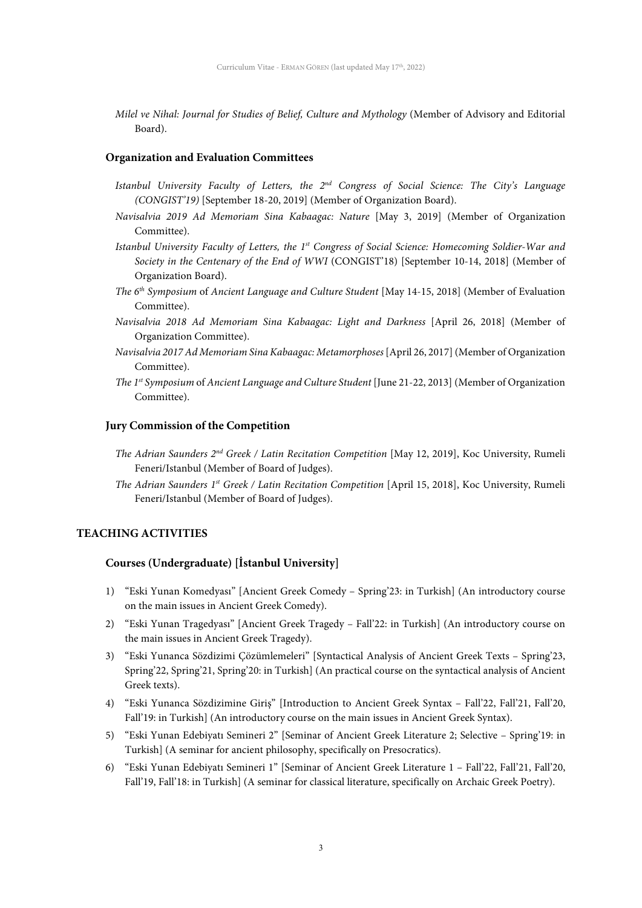*Milel ve Nihal: Journal for Studies of Belief, Culture and Mythology* (Member of Advisory and Editorial Board).

#### **Organization and Evaluation Committees**

- *Istanbul University Faculty of Letters, the 2nd Congress of Social Science: The City's Language (CONGIST'19)* [September 18-20, 2019] (Member of Organization Board).
- *Navisalvia 2019 Ad Memoriam Sina Kabaagac: Nature* [May 3, 2019] (Member of Organization Committee).
- *Istanbul University Faculty of Letters, the 1st Congress of Social Science: Homecoming Soldier-War and Society in the Centenary of the End of WWI* (CONGIST'18) [September 10-14, 2018] (Member of Organization Board).
- *The 6th Symposium* of *Ancient Language and Culture Student* [May 14-15, 2018] (Member of Evaluation Committee).
- *Navisalvia 2018 Ad Memoriam Sina Kabaagac: Light and Darkness* [April 26, 2018] (Member of Organization Committee).
- *Navisalvia 2017 Ad Memoriam Sina Kabaagac: Metamorphoses*[April 26, 2017] (Member of Organization Committee).
- *The 1st Symposium* of *Ancient Language and Culture Student* [June 21-22, 2013] (Member of Organization Committee).

#### **Jury Commission of the Competition**

- *The Adrian Saunders 2nd Greek / Latin Recitation Competition* [May 12, 2019], Koc University, Rumeli Feneri/Istanbul (Member of Board of Judges).
- *The Adrian Saunders 1st Greek / Latin Recitation Competition* [April 15, 2018], Koc University, Rumeli Feneri/Istanbul (Member of Board of Judges).

## **TEACHING ACTIVITIES**

#### **Courses (Undergraduate) [İstanbul University]**

- 1) "Eski Yunan Komedyası" [Ancient Greek Comedy Spring'23: in Turkish] (An introductory course on the main issues in Ancient Greek Comedy).
- 2) "Eski Yunan Tragedyası" [Ancient Greek Tragedy Fall'22: in Turkish] (An introductory course on the main issues in Ancient Greek Tragedy).
- 3) "Eski Yunanca Sözdizimi Çözümlemeleri" [Syntactical Analysis of Ancient Greek Texts Spring'23, Spring'22, Spring'21, Spring'20: in Turkish] (An practical course on the syntactical analysis of Ancient Greek texts).
- 4) "Eski Yunanca Sözdizimine Giriş" [Introduction to Ancient Greek Syntax Fall'22, Fall'21, Fall'20, Fall'19: in Turkish] (An introductory course on the main issues in Ancient Greek Syntax).
- 5) "Eski Yunan Edebiyatı Semineri 2" [Seminar of Ancient Greek Literature 2; Selective Spring'19: in Turkish] (A seminar for ancient philosophy, specifically on Presocratics).
- 6) "Eski Yunan Edebiyatı Semineri 1" [Seminar of Ancient Greek Literature 1 Fall'22, Fall'21, Fall'20, Fall'19, Fall'18: in Turkish] (A seminar for classical literature, specifically on Archaic Greek Poetry).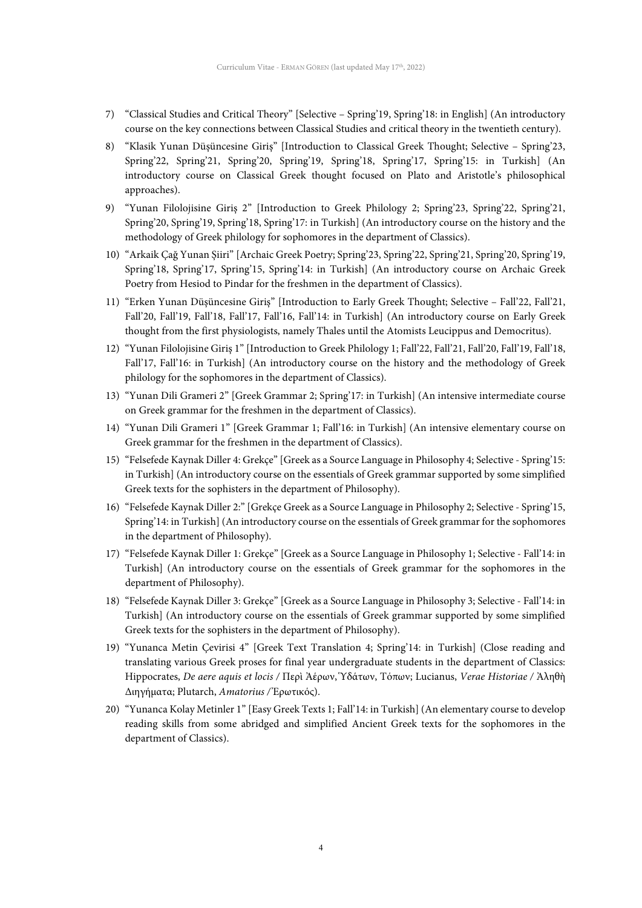- 7) "Classical Studies and Critical Theory" [Selective Spring'19, Spring'18: in English] (An introductory course on the key connections between Classical Studies and critical theory in the twentieth century).
- 8) "Klasik Yunan Düşüncesine Giriş" [Introduction to Classical Greek Thought; Selective Spring'23, Spring'22, Spring'21, Spring'20, Spring'19, Spring'18, Spring'17, Spring'15: in Turkish] (An introductory course on Classical Greek thought focused on Plato and Aristotle's philosophical approaches).
- 9) "Yunan Filolojisine Giriş 2" [Introduction to Greek Philology 2; Spring'23, Spring'22, Spring'21, Spring'20, Spring'19, Spring'18, Spring'17: in Turkish] (An introductory course on the history and the methodology of Greek philology for sophomores in the department of Classics).
- 10) "Arkaik Çağ Yunan Şiiri" [Archaic Greek Poetry; Spring'23, Spring'22, Spring'21, Spring'20, Spring'19, Spring'18, Spring'17, Spring'15, Spring'14: in Turkish] (An introductory course on Archaic Greek Poetry from Hesiod to Pindar for the freshmen in the department of Classics).
- 11) "Erken Yunan Düşüncesine Giriş" [Introduction to Early Greek Thought; Selective Fall'22, Fall'21, Fall'20, Fall'19, Fall'18, Fall'17, Fall'16, Fall'14: in Turkish] (An introductory course on Early Greek thought from the first physiologists, namely Thales until the Atomists Leucippus and Democritus).
- 12) "Yunan Filolojisine Giriş 1" [Introduction to Greek Philology 1; Fall'22, Fall'21, Fall'20, Fall'19, Fall'18, Fall'17, Fall'16: in Turkish] (An introductory course on the history and the methodology of Greek philology for the sophomores in the department of Classics).
- 13) "Yunan Dili Grameri 2" [Greek Grammar 2; Spring'17: in Turkish] (An intensive intermediate course on Greek grammar for the freshmen in the department of Classics).
- 14) "Yunan Dili Grameri 1" [Greek Grammar 1; Fall'16: in Turkish] (An intensive elementary course on Greek grammar for the freshmen in the department of Classics).
- 15) "Felsefede Kaynak Diller 4: Grekçe" [Greek as a Source Language in Philosophy 4; Selective Spring'15: in Turkish] (An introductory course on the essentials of Greek grammar supported by some simplified Greek texts for the sophisters in the department of Philosophy).
- 16) "Felsefede Kaynak Diller 2:" [Grekçe Greek as a Source Language in Philosophy 2; Selective Spring'15, Spring'14: in Turkish] (An introductory course on the essentials of Greek grammar for the sophomores in the department of Philosophy).
- 17) "Felsefede Kaynak Diller 1: Grekçe" [Greek as a Source Language in Philosophy 1; Selective Fall'14: in Turkish] (An introductory course on the essentials of Greek grammar for the sophomores in the department of Philosophy).
- 18) "Felsefede Kaynak Diller 3: Grekçe" [Greek as a Source Language in Philosophy 3; Selective Fall'14: in Turkish] (An introductory course on the essentials of Greek grammar supported by some simplified Greek texts for the sophisters in the department of Philosophy).
- 19) "Yunanca Metin Çevirisi 4" [Greek Text Translation 4; Spring'14: in Turkish] (Close reading and translating various Greek proses for final year undergraduate students in the department of Classics: Hippocrates, *De aere aquis et locis /* Περὶ Ἀέρων, Ὑδάτων, Τόπων; Lucianus, *Verae Historiae /* Ἀληθὴ Διηγήματα; Plutarch, *Amatorius /* Ἐρωτικός).
- 20) "Yunanca Kolay Metinler 1" [Easy Greek Texts 1; Fall'14: in Turkish] (An elementary course to develop reading skills from some abridged and simplified Ancient Greek texts for the sophomores in the department of Classics).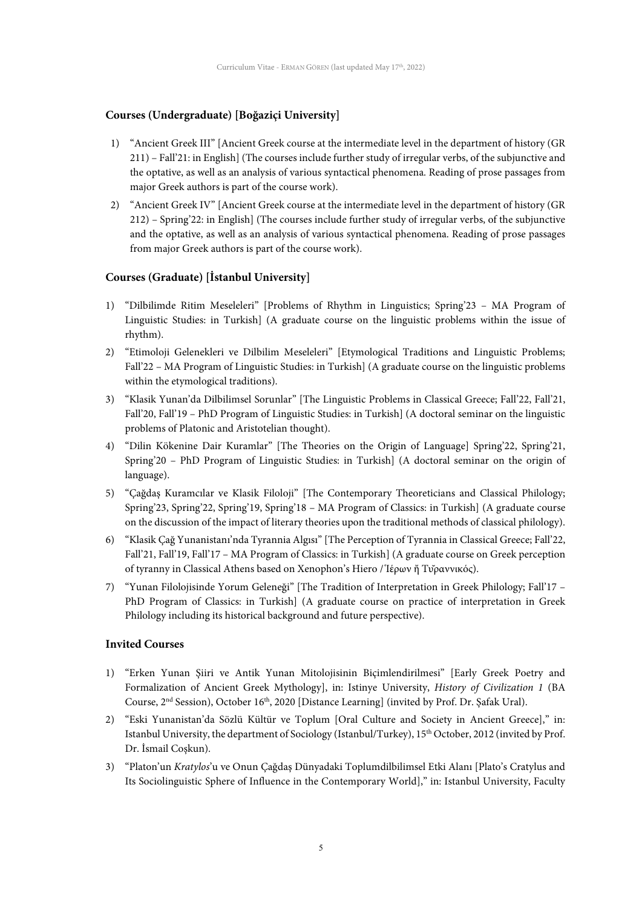# **Courses (Undergraduate) [Boğaziçi University]**

- 1) "Ancient Greek III" [Ancient Greek course at the intermediate level in the department of history (GR 211) – Fall'21: in English] (The courses include further study of irregular verbs, of the subjunctive and the optative, as well as an analysis of various syntactical phenomena. Reading of prose passages from major Greek authors is part of the course work).
- 2) "Ancient Greek IV" [Ancient Greek course at the intermediate level in the department of history (GR 212) – Spring'22: in English] (The courses include further study of irregular verbs, of the subjunctive and the optative, as well as an analysis of various syntactical phenomena. Reading of prose passages from major Greek authors is part of the course work).

# **Courses (Graduate) [İstanbul University]**

- 1) "Dilbilimde Ritim Meseleleri" [Problems of Rhythm in Linguistics; Spring'23 MA Program of Linguistic Studies: in Turkish] (A graduate course on the linguistic problems within the issue of rhythm).
- 2) "Etimoloji Gelenekleri ve Dilbilim Meseleleri" [Etymological Traditions and Linguistic Problems; Fall'22 – MA Program of Linguistic Studies: in Turkish] (A graduate course on the linguistic problems within the etymological traditions).
- 3) "Klasik Yunan'da Dilbilimsel Sorunlar" [The Linguistic Problems in Classical Greece; Fall'22, Fall'21, Fall'20, Fall'19 – PhD Program of Linguistic Studies: in Turkish] (A doctoral seminar on the linguistic problems of Platonic and Aristotelian thought).
- 4) "Dilin Kökenine Dair Kuramlar" [The Theories on the Origin of Language] Spring'22, Spring'21, Spring'20 – PhD Program of Linguistic Studies: in Turkish] (A doctoral seminar on the origin of language).
- 5) "Çağdaş Kuramcılar ve Klasik Filoloji" [The Contemporary Theoreticians and Classical Philology; Spring'23, Spring'22, Spring'19, Spring'18 – MA Program of Classics: in Turkish] (A graduate course on the discussion of the impact of literary theories upon the traditional methods of classical philology).
- 6) "Klasik Çağ Yunanistanı'nda Tyrannia Algısı" [The Perception of Tyrannia in Classical Greece; Fall'22, Fall'21, Fall'19, Fall'17 – MA Program of Classics: in Turkish] (A graduate course on Greek perception of tyranny in Classical Athens based on Xenophon's Hiero / Ἱέρων ἤ Τῠραννικός).
- 7) "Yunan Filolojisinde Yorum Geleneği" [The Tradition of Interpretation in Greek Philology; Fall'17 PhD Program of Classics: in Turkish] (A graduate course on practice of interpretation in Greek Philology including its historical background and future perspective).

## **Invited Courses**

- 1) "Erken Yunan Şiiri ve Antik Yunan Mitolojisinin Biçimlendirilmesi" [Early Greek Poetry and Formalization of Ancient Greek Mythology], in: Istinye University, *History of Civilization 1* (BA Course, 2nd Session), October 16th, 2020 [Distance Learning] (invited by Prof. Dr. Şafak Ural).
- 2) "Eski Yunanistan'da Sözlü Kültür ve Toplum [Oral Culture and Society in Ancient Greece]," in: Istanbul University, the department of Sociology (Istanbul/Turkey), 15<sup>th</sup> October, 2012 (invited by Prof. Dr. İsmail Coşkun).
- 3) "Platon'un *Kratylos*'u ve Onun Çağdaş Dünyadaki Toplumdilbilimsel Etki Alanı [Plato's Cratylus and Its Sociolinguistic Sphere of Influence in the Contemporary World]," in: Istanbul University, Faculty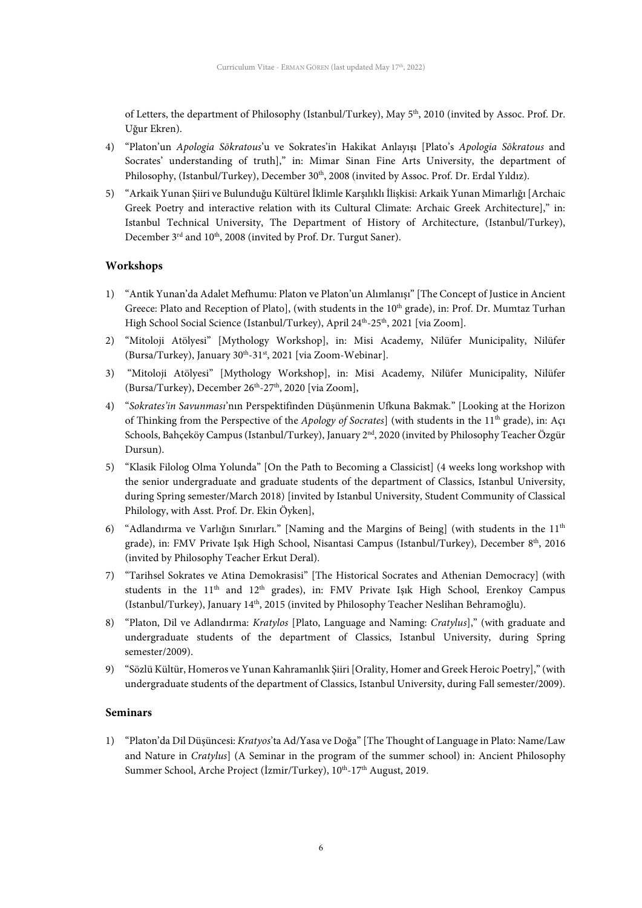of Letters, the department of Philosophy (Istanbul/Turkey), May 5th, 2010 (invited by Assoc. Prof. Dr. Uğur Ekren).

- 4) "Platon'un *Apologia Sōkratous*'u ve Sokrates'in Hakikat Anlayışı [Plato's *Apologia Sōkratous* and Socrates' understanding of truth]," in: Mimar Sinan Fine Arts University, the department of Philosophy, (Istanbul/Turkey), December 30<sup>th</sup>, 2008 (invited by Assoc. Prof. Dr. Erdal Yıldız).
- 5) "Arkaik Yunan Şiiri ve Bulunduğu Kültürel İklimle Karşılıklı İlişkisi: Arkaik Yunan Mimarlığı [Archaic Greek Poetry and interactive relation with its Cultural Climate: Archaic Greek Architecture]," in: Istanbul Technical University, The Department of History of Architecture, (Istanbul/Turkey), December 3<sup>rd</sup> and 10<sup>th</sup>, 2008 (invited by Prof. Dr. Turgut Saner).

## **Workshops**

- 1) "Antik Yunan'da Adalet Mefhumu: Platon ve Platon'un Alımlanışı" [The Concept of Justice in Ancient Greece: Plato and Reception of Plato], (with students in the 10<sup>th</sup> grade), in: Prof. Dr. Mumtaz Turhan High School Social Science (Istanbul/Turkey), April 24<sup>th</sup>-25<sup>th</sup>, 2021 [via Zoom].
- 2) "Mitoloji Atölyesi" [Mythology Workshop], in: Misi Academy, Nilüfer Municipality, Nilüfer (Bursa/Turkey), January  $30^{th}$ -31 $st$ , 2021 [via Zoom-Webinar].
- 3) "Mitoloji Atölyesi" [Mythology Workshop], in: Misi Academy, Nilüfer Municipality, Nilüfer (Bursa/Turkey), December 26<sup>th</sup>-27<sup>th</sup>, 2020 [via Zoom],
- 4) "*Sokrates'in Savunması*'nın Perspektifinden Düşünmenin Ufkuna Bakmak." [Looking at the Horizon of Thinking from the Perspective of the *Apology of Socrates*] (with students in the 11<sup>th</sup> grade), in: Act Schools, Bahçeköy Campus (Istanbul/Turkey), January 2nd, 2020 (invited by Philosophy Teacher Özgür Dursun).
- 5) "Klasik Filolog Olma Yolunda" [On the Path to Becoming a Classicist] (4 weeks long workshop with the senior undergraduate and graduate students of the department of Classics, Istanbul University, during Spring semester/March 2018) [invited by Istanbul University, Student Community of Classical Philology, with Asst. Prof. Dr. Ekin Öyken],
- 6) "Adlandırma ve Varlığın Sınırları." [Naming and the Margins of Being] (with students in the  $11<sup>th</sup>$ grade), in: FMV Private Isik High School, Nisantasi Campus (Istanbul/Turkey), December 8<sup>th</sup>, 2016 (invited by Philosophy Teacher Erkut Deral).
- 7) "Tarihsel Sokrates ve Atina Demokrasisi" [The Historical Socrates and Athenian Democracy] (with students in the  $11<sup>th</sup>$  and  $12<sup>th</sup>$  grades), in: FMV Private Isik High School, Erenkoy Campus (Istanbul/Turkey), January 14<sup>th</sup>, 2015 (invited by Philosophy Teacher Neslihan Behramoğlu).
- 8) "Platon, Dil ve Adlandırma: *Kratylos* [Plato, Language and Naming: *Cratylus*]," (with graduate and undergraduate students of the department of Classics, Istanbul University, during Spring semester/2009).
- 9) "Sözlü Kültür, Homeros ve Yunan Kahramanlık Şiiri [Orality, Homer and Greek Heroic Poetry]," (with undergraduate students of the department of Classics, Istanbul University, during Fall semester/2009).

#### **Seminars**

1) "Platon'da Dil Düşüncesi: *Kratyos*'ta Ad/Yasa ve Doğa" [The Thought of Language in Plato: Name/Law and Nature in *Cratylus*] (A Seminar in the program of the summer school) in: Ancient Philosophy Summer School, Arche Project (İzmir/Turkey), 10<sup>th</sup>-17<sup>th</sup> August, 2019.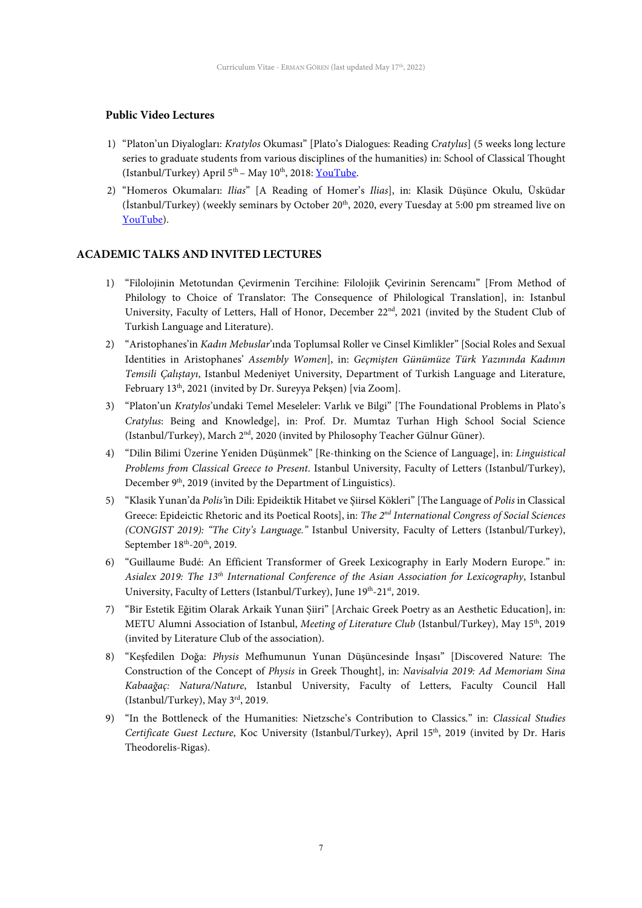## **Public Video Lectures**

- 1) "Platon'un Diyalogları: *Kratylos* Okuması" [Plato's Dialogues: Reading *Cratylus*] (5 weeks long lecture series to graduate students from various disciplines of the humanities) in: School of Classical Thought (Istanbul/Turkey) April  $5<sup>th</sup>$  – May 10<sup>th</sup>, 2018: <u>YouTube</u>.
- 2) "Homeros Okumaları: *Ilias*" [A Reading of Homer's *Ilias*], in: Klasik Düşünce Okulu, Üsküdar (İstanbul/Turkey) (weekly seminars by October 20<sup>th</sup>, 2020, every Tuesday at 5:00 pm streamed live on [YouTube\)](https://tinyurl.com/y2qhen7f).

# **ACADEMIC TALKS AND INVITED LECTURES**

- 1) "Filolojinin Metotundan Çevirmenin Tercihine: Filolojik Çevirinin Serencamı" [From Method of Philology to Choice of Translator: The Consequence of Philological Translation], in: Istanbul University, Faculty of Letters, Hall of Honor, December 22<sup>nd</sup>, 2021 (invited by the Student Club of Turkish Language and Literature).
- 2) "Aristophanes'in *Kadın Mebuslar*'ında Toplumsal Roller ve Cinsel Kimlikler" [Social Roles and Sexual Identities in Aristophanes' *Assembly Women*], in: *Geçmişten Günümüze Türk Yazınında Kadının Temsili Çalıştayı*, Istanbul Medeniyet University, Department of Turkish Language and Literature, February 13th, 2021 (invited by Dr. Sureyya Pekşen) [via Zoom].
- 3) "Platon'un *Kratylos*'undaki Temel Meseleler: Varlık ve Bilgi" [The Foundational Problems in Plato's *Cratylus*: Being and Knowledge], in: Prof. Dr. Mumtaz Turhan High School Social Science (Istanbul/Turkey), March 2nd, 2020 (invited by Philosophy Teacher Gülnur Güner).
- 4) "Dilin Bilimi Üzerine Yeniden Düşünmek" [Re-thinking on the Science of Language], in: *Linguistical Problems from Classical Greece to Present*. Istanbul University, Faculty of Letters (Istanbul/Turkey), December 9<sup>th</sup>, 2019 (invited by the Department of Linguistics).
- 5) "Klasik Yunan'da *Polis'*in Dili: Epideiktik Hitabet ve Şiirsel Kökleri" [The Language of *Polis* in Classical Greece: Epideictic Rhetoric and its Poetical Roots], in: *The 2nd International Congress of Social Sciences (CONGIST 2019): "The City's Language."* Istanbul University, Faculty of Letters (Istanbul/Turkey), September  $18^{th}$ -20<sup>th</sup>, 2019.
- 6) "Guillaume Budé: An Efficient Transformer of Greek Lexicography in Early Modern Europe." in: *Asialex 2019: The 13th International Conference of the Asian Association for Lexicography*, Istanbul University, Faculty of Letters (Istanbul/Turkey), June 19th-21st, 2019.
- 7) "Bir Estetik Eğitim Olarak Arkaik Yunan Şiiri" [Archaic Greek Poetry as an Aesthetic Education], in: METU Alumni Association of Istanbul, *Meeting of Literature Club* (Istanbul/Turkey), May 15th, 2019 (invited by Literature Club of the association).
- 8) "Keşfedilen Doğa: *Physis* Mefhumunun Yunan Düşüncesinde İnşası" [Discovered Nature: The Construction of the Concept of *Physis* in Greek Thought], in: *Navisalvia 2019: Ad Memoriam Sina Kabaağaç: Natura/Nature*, Istanbul University, Faculty of Letters, Faculty Council Hall (Istanbul/Turkey), May 3rd, 2019.
- 9) "In the Bottleneck of the Humanities: Nietzsche's Contribution to Classics." in: *Classical Studies Certificate Guest Lecture*, Koc University (Istanbul/Turkey), April 15th, 2019 (invited by Dr. Haris Theodorelis-Rigas).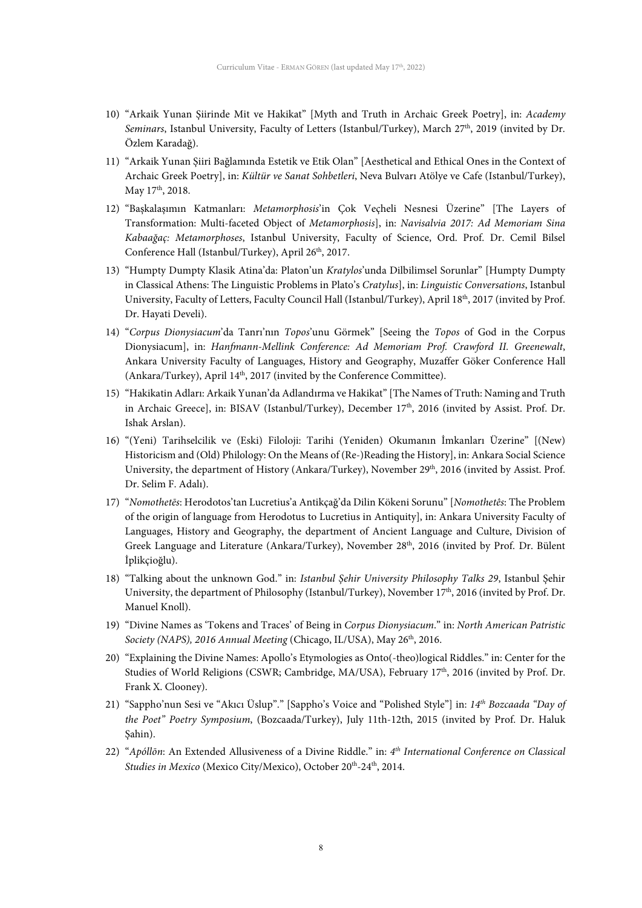- 10) "Arkaik Yunan Şiirinde Mit ve Hakikat" [Myth and Truth in Archaic Greek Poetry], in: *Academy*  Seminars, Istanbul University, Faculty of Letters (Istanbul/Turkey), March 27<sup>th</sup>, 2019 (invited by Dr. Özlem Karadağ).
- 11) "Arkaik Yunan Şiiri Bağlamında Estetik ve Etik Olan" [Aesthetical and Ethical Ones in the Context of Archaic Greek Poetry], in: *Kültür ve Sanat Sohbetleri*, Neva Bulvarı Atölye ve Cafe (Istanbul/Turkey), May 17<sup>th</sup>, 2018.
- 12) "Başkalaşımın Katmanları: *Metamorphosis*'in Çok Veçheli Nesnesi Üzerine" [The Layers of Transformation: Multi-faceted Object of *Metamorphosis*], in: *Navisalvia 2017: Ad Memoriam Sina Kabaağaç: Metamorphoses*, Istanbul University, Faculty of Science, Ord. Prof. Dr. Cemil Bilsel Conference Hall (Istanbul/Turkey), April 26<sup>th</sup>, 2017.
- 13) "Humpty Dumpty Klasik Atina'da: Platon'un *Kratylos*'unda Dilbilimsel Sorunlar" [Humpty Dumpty in Classical Athens: The Linguistic Problems in Plato's *Cratylus*], in: *Linguistic Conversations*, Istanbul University, Faculty of Letters, Faculty Council Hall (Istanbul/Turkey), April 18th, 2017 (invited by Prof. Dr. Hayati Develi).
- 14) "*Corpus Dionysiacum*'da Tanrı'nın *Topos*'unu Görmek" [Seeing the *Topos* of God in the Corpus Dionysiacum], in: *Hanfmann-Mellink Conference: Ad Memoriam Prof. Crawford II. Greenewalt*, Ankara University Faculty of Languages, History and Geography, Muzaffer Göker Conference Hall (Ankara/Turkey), April 14<sup>th</sup>, 2017 (invited by the Conference Committee).
- 15) "Hakikatin Adları: Arkaik Yunan'da Adlandırma ve Hakikat" [The Names of Truth: Naming and Truth in Archaic Greece], in: BISAV (Istanbul/Turkey), December 17<sup>th</sup>, 2016 (invited by Assist. Prof. Dr. Ishak Arslan).
- 16) "(Yeni) Tarihselcilik ve (Eski) Filoloji: Tarihi (Yeniden) Okumanın İmkanları Üzerine" [(New) Historicism and (Old) Philology: On the Means of (Re-)Reading the History], in: Ankara Social Science University, the department of History (Ankara/Turkey), November 29<sup>th</sup>, 2016 (invited by Assist. Prof. Dr. Selim F. Adalı).
- 17) "*Nomothetēs*: Herodotos'tan Lucretius'a Antikçağ'da Dilin Kökeni Sorunu" [*Nomothetês*: The Problem of the origin of language from Herodotus to Lucretius in Antiquity], in: Ankara University Faculty of Languages, History and Geography, the department of Ancient Language and Culture, Division of Greek Language and Literature (Ankara/Turkey), November 28<sup>th</sup>, 2016 (invited by Prof. Dr. Bülent İplikçioğlu).
- 18) "Talking about the unknown God." in: *Istanbul Şehir University Philosophy Talks 29*, Istanbul Şehir University, the department of Philosophy (Istanbul/Turkey), November 17<sup>th</sup>, 2016 (invited by Prof. Dr. Manuel Knoll).
- 19) "Divine Names as 'Tokens and Traces' of Being in *Corpus Dionysiacum*." in: *North American Patristic Society (NAPS), 2016 Annual Meeting* (Chicago, IL/USA), May 26th, 2016.
- 20) "Explaining the Divine Names: Apollo's Etymologies as Onto(-theo)logical Riddles." in: Center for the Studies of World Religions (CSWR; Cambridge, MA/USA), February 17<sup>th</sup>, 2016 (invited by Prof. Dr. Frank X. Clooney).
- 21) "Sappho'nun Sesi ve "Akıcı Üslup"." [Sappho's Voice and "Polished Style"] in: *14th Bozcaada "Day of the Poet" Poetry Symposium*, (Bozcaada/Turkey), July 11th-12th, 2015 (invited by Prof. Dr. Haluk Şahin).
- 22) "*Apóllōn*: An Extended Allusiveness of a Divine Riddle." in: *4th International Conference on Classical*  Studies in Mexico (Mexico City/Mexico), October 20<sup>th</sup>-24<sup>th</sup>, 2014.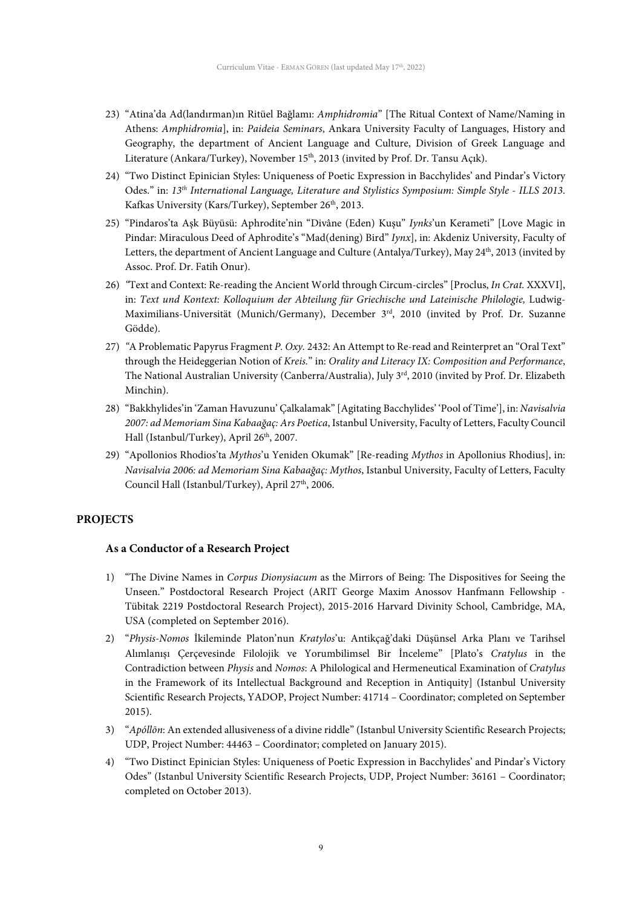- 23) "Atina'da Ad(landırman)ın Ritüel Bağlamı: *Amphidromia*" [The Ritual Context of Name/Naming in Athens: *Amphidromia*], in: *Paideia Seminars*, Ankara University Faculty of Languages, History and Geography, the department of Ancient Language and Culture, Division of Greek Language and Literature (Ankara/Turkey), November 15<sup>th</sup>, 2013 (invited by Prof. Dr. Tansu Açık).
- 24) "Two Distinct Epinician Styles: Uniqueness of Poetic Expression in Bacchylides' and Pindar's Victory Odes." in: *13th International Language, Literature and Stylistics Symposium: Simple Style - ILLS 2013*. Kafkas University (Kars/Turkey), September 26<sup>th</sup>, 2013.
- 25) "Pindaros'ta Aşk Büyüsü: Aphrodite'nin "Divâne (Eden) Kuşu" *Iynks*'un Kerameti" [Love Magic in Pindar: Miraculous Deed of Aphrodite's "Mad(dening) Bird" *Iynx*], in: Akdeniz University, Faculty of Letters, the department of Ancient Language and Culture (Antalya/Turkey), May 24<sup>th</sup>, 2013 (invited by Assoc. Prof. Dr. Fatih Onur).
- 26) *"*Text and Context: Re-reading the Ancient World through Circum-circles" [Proclus, *In Crat.* XXXVI], in: *Text und Kontext: Kolloquium der Abteilung für Griechische und Lateinische Philologie,* Ludwig-Maximilians-Universität (Munich/Germany), December 3rd, 2010 (invited by Prof. Dr. Suzanne Gödde).
- 27) *"*A Problematic Papyrus Fragment *P. Oxy.* 2432: An Attempt to Re-read and Reinterpret an "Oral Text" through the Heideggerian Notion of *Kreis.*" in: *Orality and Literacy IX: Composition and Performance*, The National Australian University (Canberra/Australia), July 3<sup>rd</sup>, 2010 (invited by Prof. Dr. Elizabeth Minchin).
- 28) "Bakkhylides'in 'Zaman Havuzunu' Çalkalamak" [Agitating Bacchylides' 'Pool of Time'], in: *Navisalvia 2007: ad Memoriam Sina Kabaağaç: Ars Poetica*, Istanbul University, Faculty of Letters, Faculty Council Hall (Istanbul/Turkey), April 26<sup>th</sup>, 2007.
- 29) "Apollonios Rhodios'ta *Mythos*'u Yeniden Okumak" [Re-reading *Mythos* in Apollonius Rhodius], in: *Navisalvia 2006: ad Memoriam Sina Kabaağaç: Mythos*, Istanbul University, Faculty of Letters, Faculty Council Hall (Istanbul/Turkey), April 27<sup>th</sup>, 2006.

## **PROJECTS**

## **As a Conductor of a Research Project**

- 1) "The Divine Names in *Corpus Dionysiacum* as the Mirrors of Being: The Dispositives for Seeing the Unseen." Postdoctoral Research Project (ARIT George Maxim Anossov Hanfmann Fellowship - Tübitak 2219 Postdoctoral Research Project), 2015-2016 Harvard Divinity School, Cambridge, MA, USA (completed on September 2016).
- 2) "*Physis-Nomos* İkileminde Platon'nun *Kratylos*'u: Antikçağ'daki Düşünsel Arka Planı ve Tarihsel Alımlanışı Çerçevesinde Filolojik ve Yorumbilimsel Bir İnceleme" [Plato's *Cratylus* in the Contradiction between *Physis* and *Nomos*: A Philological and Hermeneutical Examination of *Cratylus* in the Framework of its Intellectual Background and Reception in Antiquity] (Istanbul University Scientific Research Projects, YADOP, Project Number: 41714 – Coordinator; completed on September 2015).
- 3) "*Apóllōn*: An extended allusiveness of a divine riddle" (Istanbul University Scientific Research Projects; UDP, Project Number: 44463 – Coordinator; completed on January 2015).
- 4) "Two Distinct Epinician Styles: Uniqueness of Poetic Expression in Bacchylides' and Pindar's Victory Odes" (Istanbul University Scientific Research Projects, UDP, Project Number: 36161 – Coordinator; completed on October 2013).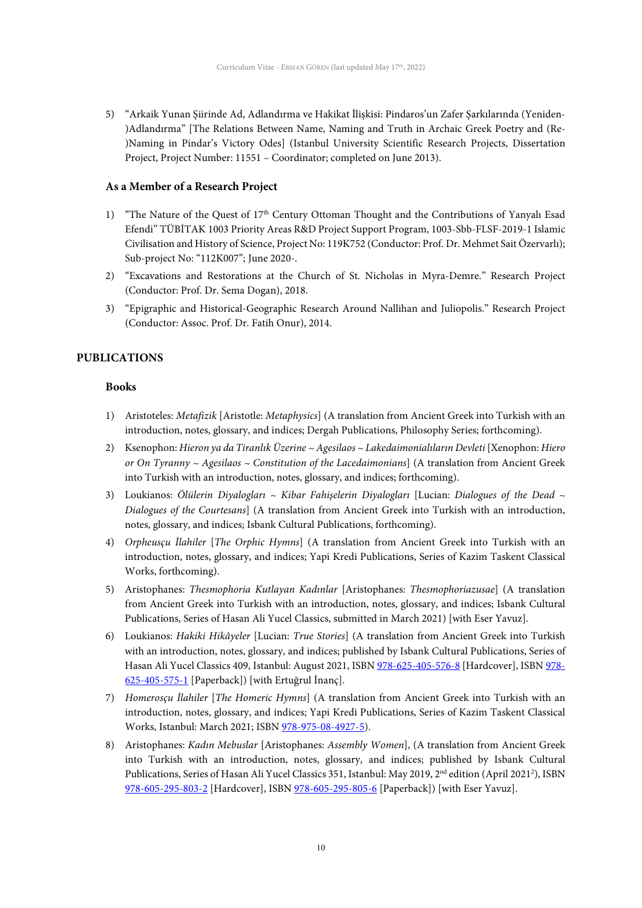5) "Arkaik Yunan Şiirinde Ad, Adlandırma ve Hakikat İlişkisi: Pindaros'un Zafer Şarkılarında (Yeniden- )Adlandırma" [The Relations Between Name, Naming and Truth in Archaic Greek Poetry and (Re- )Naming in Pindar's Victory Odes] (Istanbul University Scientific Research Projects, Dissertation Project, Project Number: 11551 – Coordinator; completed on June 2013).

#### **As a Member of a Research Project**

- 1) "The Nature of the Quest of 17th Century Ottoman Thought and the Contributions of Yanyalı Esad Efendi" TÜBİTAK 1003 Priority Areas R&D Project Support Program, 1003-Sbb-FLSF-2019-1 Islamic Civilisation and History of Science, Project No: 119K752 (Conductor: Prof. Dr. Mehmet Sait Özervarlı); Sub-project No: "112K007"; June 2020-.
- 2) "Excavations and Restorations at the Church of St. Nicholas in Myra-Demre." Research Project (Conductor: Prof. Dr. Sema Dogan), 2018.
- 3) "Epigraphic and Historical-Geographic Research Around Nallihan and Juliopolis." Research Project (Conductor: Assoc. Prof. Dr. Fatih Onur), 2014.

## **PUBLICATIONS**

#### **Books**

- 1) Aristoteles: *Metafizik* [Aristotle: *Metaphysics*] (A translation from Ancient Greek into Turkish with an introduction, notes, glossary, and indices; Dergah Publications, Philosophy Series; forthcoming).
- 2) Ksenophon: *Hieron ya da Tiranlık Üzerine ~ Agesilaos ~ Lakedaimonialıların Devleti* [Xenophon: *Hiero or On Tyranny ~ Agesilaos ~ Constitution of the Lacedaimonians*] (A translation from Ancient Greek into Turkish with an introduction, notes, glossary, and indices; forthcoming).
- 3) Loukianos: *Ölülerin Diyalogları ~ Kibar Fahişelerin Diyalogları* [Lucian: *Dialogues of the Dead ~ Dialogues of the Courtesans*] (A translation from Ancient Greek into Turkish with an introduction, notes, glossary, and indices; Isbank Cultural Publications, forthcoming).
- 4) *Orpheusçu İlahiler* [*The Orphic Hymns*] (A translation from Ancient Greek into Turkish with an introduction, notes, glossary, and indices; Yapi Kredi Publications, Series of Kazim Taskent Classical Works, forthcoming).
- 5) Aristophanes: *Thesmophoria Kutlayan Kadınlar* [Aristophanes: *Thesmophoriazusae*] (A translation from Ancient Greek into Turkish with an introduction, notes, glossary, and indices; Isbank Cultural Publications, Series of Hasan Ali Yucel Classics, submitted in March 2021) [with Eser Yavuz].
- 6) Loukianos: *Hakiki Hikâyeler* [Lucian: *True Stories*] (A translation from Ancient Greek into Turkish with an introduction, notes, glossary, and indices; published by Isbank Cultural Publications, Series of Hasan Ali Yucel Classics 409, Istanbul: August 2021, ISBN [978-625-405-576-8](https://www.iskultur.com.tr/hakiki-hikayeler-ciltli.aspx) [Hardcover], ISB[N 978-](https://www.iskultur.com.tr/hakiki-hikayeler.aspx) [625-405-575-1](https://www.iskultur.com.tr/hakiki-hikayeler.aspx) [Paperback]) [with Ertuğrul İnanç].
- 7) *Homerosçu İlahiler* [*The Homeric Hymns*] (A translation from Ancient Greek into Turkish with an introduction, notes, glossary, and indices; Yapi Kredi Publications, Series of Kazim Taskent Classical Works, Istanbul: March 2021; ISB[N 978-975-08-4927-5\)](https://www.yapikrediyayinlari.com.tr/homeroscu-ilahiler.aspx).
- 8) Aristophanes: *Kadın Mebuslar* [Aristophanes: *Assembly Women*], (A translation from Ancient Greek into Turkish with an introduction, notes, glossary, and indices; published by Isbank Cultural Publications, Series of Hasan Ali Yucel Classics 351, Istanbul: May 2019, 2<sup>nd</sup> edition (April 2021<sup>2</sup>), ISBN [978-605-295-803-2](https://www.iskultur.com.tr/kadin-mebuslar-ciltli.aspx) [Hardcover], ISBN [978-605-295-805-6](https://www.iskultur.com.tr/kadin-mebuslar.aspx) [Paperback]) [with Eser Yavuz].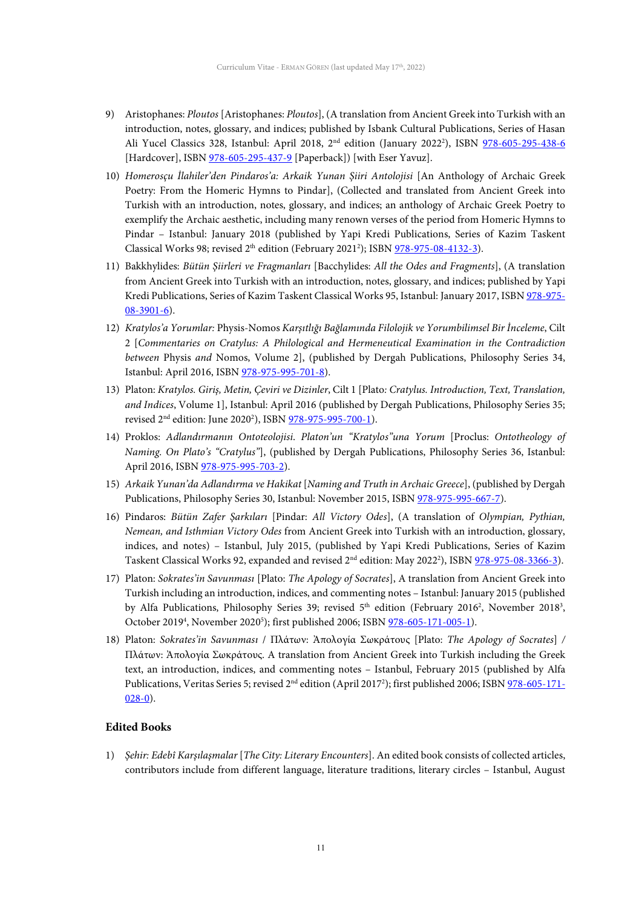- 9) Aristophanes: *Ploutos* [Aristophanes: *Ploutos*], (A translation from Ancient Greek into Turkish with an introduction, notes, glossary, and indices; published by Isbank Cultural Publications, Series of Hasan Ali Yucel Classics 328, Istanbul: April 2018, 2<sup>nd</sup> edition (January 2022<sup>2</sup>), ISBN [978-605-295-438-6](https://www.iskultur.com.tr/ploutos-servet-ciltli.aspx) [Hardcover], ISBN [978-605-295-437-9](https://www.iskultur.com.tr/ploutos-servet.aspx) [Paperback]) [with Eser Yavuz].
- 10) *Homerosçu İlahiler'den Pindaros'a: Arkaik Yunan Şiiri Antolojisi* [An Anthology of Archaic Greek Poetry: From the Homeric Hymns to Pindar], (Collected and translated from Ancient Greek into Turkish with an introduction, notes, glossary, and indices; an anthology of Archaic Greek Poetry to exemplify the Archaic aesthetic, including many renown verses of the period from Homeric Hymns to Pindar – Istanbul: January 2018 (published by Yapi Kredi Publications, Series of Kazim Taskent Classical Works 98; revised  $2<sup>th</sup>$  edition (February 2021<sup>2</sup>); ISBN  $978-975-08-4132-3$ ).
- 11) Bakkhylides: *Bütün Şiirleri ve Fragmanları* [Bacchylides: *All the Odes and Fragments*], (A translation from Ancient Greek into Turkish with an introduction, notes, glossary, and indices; published by Yapi Kredi Publications, Series of Kazim Taskent Classical Works 95, Istanbul: January 2017, ISB[N 978-975-](https://www.yapikrediyayinlari.com.tr/butun-siirleri-ve-fragmanlari.aspx) [08-3901-6\)](https://www.yapikrediyayinlari.com.tr/butun-siirleri-ve-fragmanlari.aspx).
- 12) *Kratylos'a Yorumlar:* Physis-Nomos *Karşıtlığı Bağlamında Filolojik ve Yorumbilimsel Bir İnceleme*, Cilt 2 [*Commentaries on Cratylus: A Philological and Hermeneutical Examination in the Contradiction between* Physis *and* Nomos, Volume 2], (published by Dergah Publications, Philosophy Series 34, Istanbul: April 2016, ISBN [978-975-995-701-8\)](https://www.dergah.com.tr/kitaplar/kratylosa-yorumlar-cilt-2physis-nomos-karsitligi-baglaminda-filolojik-ve-yorumbilimsel-bir-inceleme).
- 13) Platon: *Kratylos. Giriş, Metin, Çeviri ve Dizinler*, Cilt 1 [Plato*: Cratylus. Introduction, Text, Translation, and Indices*, Volume 1], Istanbul: April 2016 (published by Dergah Publications, Philosophy Series 35; revised 2<sup>nd</sup> edition: June 2020<sup>2</sup>), ISBN <u>978-975-995-700-1</u>).
- 14) Proklos: *Adlandırmanın Ontoteolojisi*. *Platon'un "Kratylos"una Yorum* [Proclus: *Ontotheology of Naming. On Plato's "Cratylus"*], (published by Dergah Publications, Philosophy Series 36, Istanbul: April 2016, ISB[N 978-975-995-703-2\)](https://www.dergah.com.tr/kitaplar/adlandirmanin-ontoteolojisi-platonun-kratylosuna-yorum).
- 15) *Arkaik Yunan'da Adlandırma ve Hakikat* [*Naming and Truth in Archaic Greece*], (published by Dergah Publications, Philosophy Series 30, Istanbul: November 2015, ISBN [978-975-995-667-7\)](https://www.dergah.com.tr/kitaplar/arkaik-yunanda-adlandirma-ve-hakikat).
- 16) Pindaros: *Bütün Zafer Şarkıları* [Pindar: *All Victory Odes*], (A translation of *Olympian, Pythian, Nemean, and Isthmian Victory Odes* from Ancient Greek into Turkish with an introduction, glossary, indices, and notes) – Istanbul, July 2015, (published by Yapi Kredi Publications, Series of Kazim Taskent Classical Works 92, expanded and revised 2<sup>nd</sup> edition: May 2022<sup>2</sup>), ISBN <u>978-975-08-3366-3</u>).
- 17) Platon: *Sokrates'in Savunması* [Plato: *The Apology of Socrates*], A translation from Ancient Greek into Turkish including an introduction, indices, and commenting notes – Istanbul: January 2015 (published by Alfa Publications, Philosophy Series 39; revised  $5<sup>th</sup>$  edition (February 2016<sup>2</sup>, November 2018<sup>3</sup>, October 2019<sup>4</sup>, November 2020<sup>5</sup>); first published 2006; ISBN [978-605-171-005-1\)](https://www.alfayayinlari.com/kitap.php?id=9385).
- 18) Platon: *Sokrates'in Savunması* / Πλάτων: Ἀπολογία Σωκράτους [Plato: *The Apology of Socrates*] */* Πλάτων: Ἀπολογία Σωκράτους. A translation from Ancient Greek into Turkish including the Greek text, an introduction, indices, and commenting notes – Istanbul, February 2015 (published by Alfa Publications, Veritas Series 5; revised 2<sup>nd</sup> edition (April 2017<sup>2</sup>); first published 2006; ISB[N 978-605-171-](https://www.alfayayinlari.com/kitap.php?id=9436) [028-0\)](https://www.alfayayinlari.com/kitap.php?id=9436).

## **Edited Books**

1) *Şehir: Edebî Karşılaşmalar* [*The City: Literary Encounters*]. An edited book consists of collected articles, contributors include from different language, literature traditions, literary circles – Istanbul, August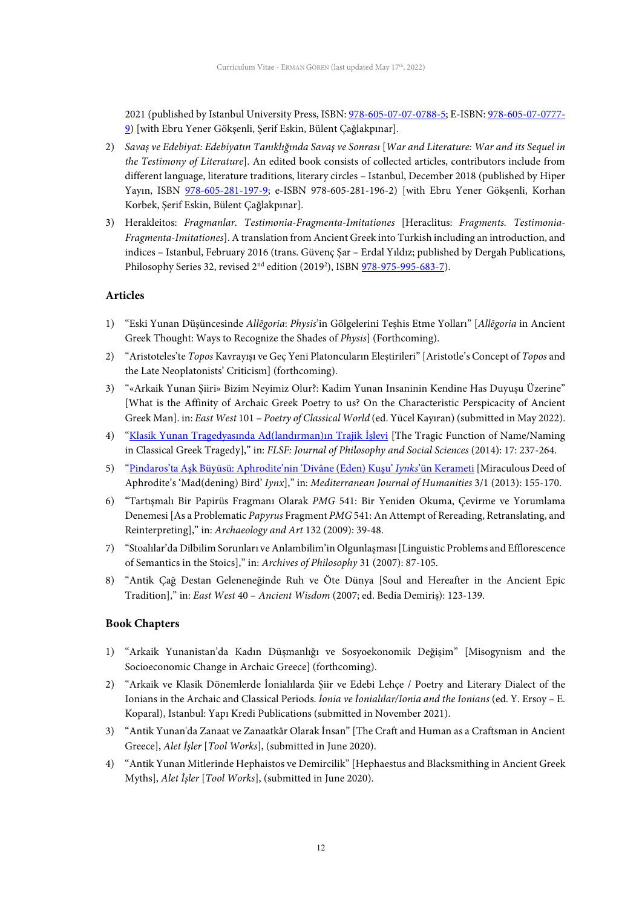2021 (published by Istanbul University Press, ISBN[: 978-605-07-07-0788-5;](http://nek.istanbul.edu.tr:4444/ekos/KITAP/ekt0000046.pdf) E-ISBN[: 978-605-07-0777-](https://iupress.istanbul.edu.tr/en/book/sehir-edebi-karsilasmalar/home) [9\)](https://iupress.istanbul.edu.tr/en/book/sehir-edebi-karsilasmalar/home) [with Ebru Yener Gökşenli, Şerif Eskin, Bülent Çağlakpınar].

- 2) *Savaş ve Edebiyat: Edebiyatın Tanıklığında Savaş ve Sonrası* [*War and Literature: War and its Sequel in the Testimony of Literature*]. An edited book consists of collected articles, contributors include from different language, literature traditions, literary circles – Istanbul, December 2018 (published by Hiper Yayın, ISBN [978-605-281-197-9;](https://www.hiperyayin.com/kategori/edebiyat/savas-ve-edebiyat-%E2%80%9Cedebiyatin-tanikliginda-savaslar-ve-sonrasi%E2%80%9D-4625.html) e-ISBN 978-605-281-196-2) [with Ebru Yener Gökşenli, Korhan Korbek, Şerif Eskin, Bülent Çağlakpınar].
- 3) Herakleitos: *Fragmanlar. Testimonia-Fragmenta-Imitationes* [Heraclitus: *Fragments. Testimonia-Fragmenta-Imitationes*]. A translation from Ancient Greek into Turkish including an introduction, and indices – Istanbul, February 2016 (trans. Güvenç Şar – Erdal Yıldız; published by Dergah Publications, Philosophy Series 32, revised 2<sup>nd</sup> edition (2019<sup>2</sup>), ISBN <u>978-975-995-683-7</u>).

#### **Articles**

- 1) "Eski Yunan Düşüncesinde *Allēgoria*: *Physis*'in Gölgelerini Teşhis Etme Yolları" [*Allēgoria* in Ancient Greek Thought: Ways to Recognize the Shades of *Physis*] (Forthcoming).
- 2) "Aristoteles'te *Topos* Kavrayışı ve Geç Yeni Platoncuların Eleştirileri" [Aristotle's Concept of *Topos* and the Late Neoplatonists' Criticism] (forthcoming).
- 3) "«Arkaik Yunan Şiiri» Bizim Neyimiz Olur?: Kadim Yunan Insaninin Kendine Has Duyuşu Üzerine" [What is the Affinity of Archaic Greek Poetry to us? On the Characteristic Perspicacity of Ancient Greek Man]. in: *East West* 101 – *Poetry of Classical World* (ed. Yücel Kayıran) (submitted in May 2022).
- 4) ["Klasik Yunan Tragedyasında Ad\(landırman\)ın Trajik İşlevi](http://dergipark.org.tr/tr/pub/flsf/issue/48622/617736) [The Tragic Function of Name/Naming in Classical Greek Tragedy]," in: *FLSF: Journal of Philosophy and Social Sciences* (2014): 17: 237-264.
- 5) "Pindaros'ta Aşk Büyüsü: [Aphrodite'nin 'Divâne \(Eden\) Kuşu'](http://proje.akdeniz.edu.tr/mcri/mjh/3-1/MJH-12-Erman_Goren_pindarosta_ask_buyusu_aphroditenin_divane_eden_kusu_iynksun_kerameti.pdf) *Iynks*'ün Kerameti [Miraculous Deed of Aphrodite's 'Mad(dening) Bird' *Iynx*]," in: *Mediterranean Journal of Humanities* 3/1 (2013): 155-170.
- 6) "Tartışmalı Bir Papirüs Fragmanı Olarak *PMG* 541: Bir Yeniden Okuma, Çevirme ve Yorumlama Denemesi [As a Problematic *Papyrus* Fragment *PMG* 541: An Attempt of Rereading, Retranslating, and Reinterpreting]," in: *Archaeology and Art* 132 (2009): 39-48.
- 7) "Stoalılar'da Dilbilim Sorunları ve Anlambilim'in Olgunlaşması [Linguistic Problems and Efflorescence of Semantics in the Stoics]," in: *Archives of Philosophy* 31 (2007): 87-105.
- 8) "Antik Çağ Destan Geleneneğinde Ruh ve Öte Dünya [Soul and Hereafter in the Ancient Epic Tradition]," in: *East West* 40 – *Ancient Wisdom* (2007; ed. Bedia Demiriş): 123-139.

#### **Book Chapters**

- 1) "Arkaik Yunanistan'da Kadın Düşmanlığı ve Sosyoekonomik Değişim" [Misogynism and the Socioeconomic Change in Archaic Greece] (forthcoming).
- 2) "Arkaik ve Klasik Dönemlerde İonialılarda Şiir ve Edebi Lehçe / Poetry and Literary Dialect of the Ionians in the Archaic and Classical Periods. *İonia ve İonialılar/Ionia and the Ionians* (ed. Y. Ersoy – E. Koparal), Istanbul: Yapı Kredi Publications (submitted in November 2021).
- 3) "Antik Yunan'da Zanaat ve Zanaatkâr Olarak İnsan" [The Craft and Human as a Craftsman in Ancient Greece], *Alet İşler* [*Tool Works*], (submitted in June 2020).
- 4) "Antik Yunan Mitlerinde Hephaistos ve Demircilik" [Hephaestus and Blacksmithing in Ancient Greek Myths], *Alet İşler* [*Tool Works*], (submitted in June 2020).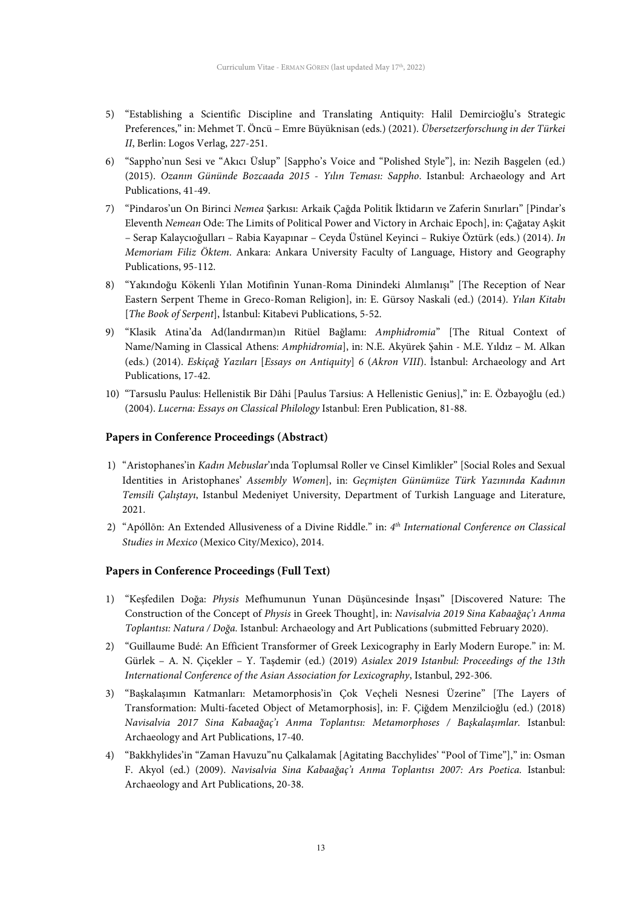- 5) "Establishing a Scientific Discipline and Translating Antiquity: Halil Demircioğlu's Strategic Preferences," in: Mehmet T. Öncü – Emre Büyüknisan (eds.) (2021). *Übersetzerforschung in der Türkei II*, Berlin: Logos Verlag, 227-251.
- 6) "Sappho'nun Sesi ve "Akıcı Üslup" [Sappho's Voice and "Polished Style"], in: Nezih Başgelen (ed.) (2015). *Ozanın Gününde Bozcaada 2015 - Yılın Teması: Sappho*. Istanbul: Archaeology and Art Publications, 41-49.
- 7) "Pindaros'un On Birinci *Nemea* Şarkısı: Arkaik Çağda Politik İktidarın ve Zaferin Sınırları" [Pindar's Eleventh *Nemean* Ode: The Limits of Political Power and Victory in Archaic Epoch], in: Çağatay Aşkit – Serap Kalaycıoğulları – Rabia Kayapınar – Ceyda Üstünel Keyinci – Rukiye Öztürk (eds.) (2014). *In Memoriam Filiz Öktem*. Ankara: Ankara University Faculty of Language, History and Geography Publications, 95-112.
- 8) "Yakındoğu Kökenli Yılan Motifinin Yunan-Roma Dinindeki Alımlanışı" [The Reception of Near Eastern Serpent Theme in Greco-Roman Religion], in: E. Gürsoy Naskali (ed.) (2014). *Yılan Kitabı* [*The Book of Serpent*], İstanbul: Kitabevi Publications, 5-52.
- 9) "Klasik Atina'da Ad(landırman)ın Ritüel Bağlamı: *Amphidromia*" [The Ritual Context of Name/Naming in Classical Athens: *Amphidromia*], in: N.E. Akyürek Şahin - M.E. Yıldız – M. Alkan (eds.) (2014). *Eskiçağ Yazıları* [*Essays on Antiquity*] *6* (*Akron VIII*). İstanbul: Archaeology and Art Publications, 17-42.
- 10) "Tarsuslu Paulus: Hellenistik Bir Dâhi [Paulus Tarsius: A Hellenistic Genius]," in: E. Özbayoğlu (ed.) (2004). *Lucerna: Essays on Classical Philology* Istanbul: Eren Publication, 81-88.

#### **Papers in Conference Proceedings (Abstract)**

- 1) "Aristophanes'in *Kadın Mebuslar*'ında Toplumsal Roller ve Cinsel Kimlikler" [Social Roles and Sexual Identities in Aristophanes' *Assembly Women*], in: *Geçmişten Günümüze Türk Yazınında Kadının Temsili Çalıştayı*, Istanbul Medeniyet University, Department of Turkish Language and Literature, 2021.
- 2) "Apóllōn: An Extended Allusiveness of a Divine Riddle." in: *4th International Conference on Classical Studies in Mexico* (Mexico City/Mexico), 2014.

#### **Papers in Conference Proceedings (Full Text)**

- 1) "Keşfedilen Doğa: *Physis* Mefhumunun Yunan Düşüncesinde İnşası" [Discovered Nature: The Construction of the Concept of *Physis* in Greek Thought], in: *Navisalvia 2019 Sina Kabaağaç'ı Anma Toplantısı: Natura / Doğa.* Istanbul: Archaeology and Art Publications (submitted February 2020).
- 2) "Guillaume Budé: An Efficient Transformer of Greek Lexicography in Early Modern Europe." in: M. Gürlek – A. N. Çiçekler – Y. Taşdemir (ed.) (2019) *Asialex 2019 Istanbul: Proceedings of the 13th International Conference of the Asian Association for Lexicography*, Istanbul, 292-306.
- 3) "Başkalaşımın Katmanları: Metamorphosis'in Çok Veçheli Nesnesi Üzerine" [The Layers of Transformation: Multi-faceted Object of Metamorphosis], in: F. Çiğdem Menzilcioğlu (ed.) (2018) *Navisalvia 2017 Sina Kabaağaç'ı Anma Toplantısı: Metamorphoses / Başkalaşımlar.* Istanbul: Archaeology and Art Publications, 17-40.
- 4) "Bakkhylides'in "Zaman Havuzu"nu Çalkalamak [Agitating Bacchylides' "Pool of Time"]," in: Osman F. Akyol (ed.) (2009). *Navisalvia Sina Kabaağaç'ı Anma Toplantısı 2007: Ars Poetica.* Istanbul: Archaeology and Art Publications, 20-38.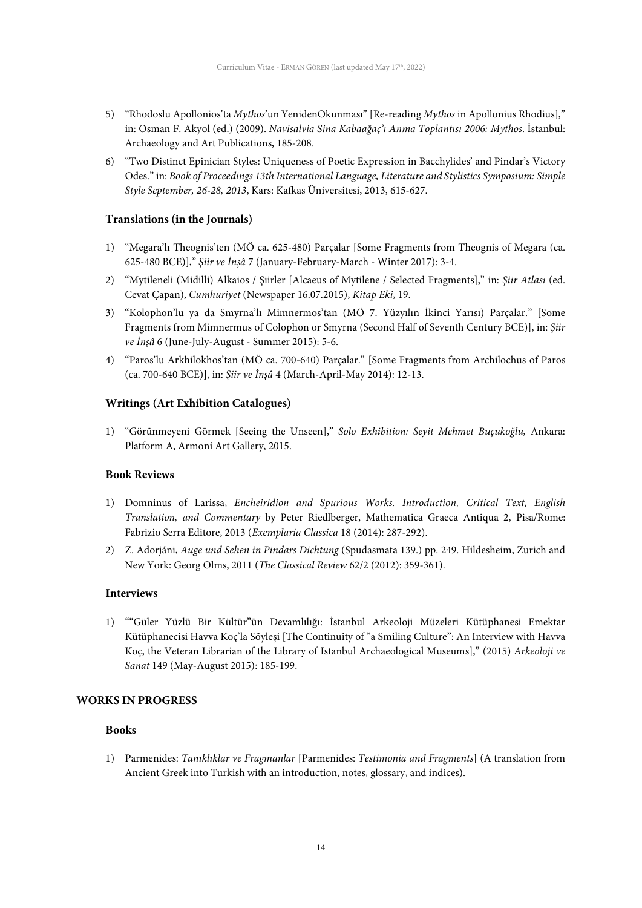- 5) "Rhodoslu Apollonios'ta *Mythos*'un YenidenOkunması" [Re-reading *Mythos* in Apollonius Rhodius]," in: Osman F. Akyol (ed.) (2009). *Navisalvia Sina Kabaağaç'ı Anma Toplantısı 2006: Mythos*. İstanbul: Archaeology and Art Publications, 185-208.
- 6) "Two Distinct Epinician Styles: Uniqueness of Poetic Expression in Bacchylides' and Pindar's Victory Odes." in: *Book of Proceedings 13th International Language, Literature and Stylistics Symposium: Simple Style September, 26-28, 2013*, Kars: Kafkas Üniversitesi, 2013, 615-627.

## **Translations (in the Journals)**

- 1) "Megara'lı Theognis'ten (MÖ ca. 625-480) Parçalar [Some Fragments from Theognis of Megara (ca. 625-480 BCE)]," *Şiir ve İnşâ* 7 (January-February-March - Winter 2017): 3-4.
- 2) "Mytileneli (Midilli) Alkaios / Şiirler [Alcaeus of Mytilene / Selected Fragments]," in: *Şiir Atlası* (ed. Cevat Çapan), *Cumhuriyet* (Newspaper 16.07.2015), *Kitap Eki*, 19.
- 3) "Kolophon'lu ya da Smyrna'lı Mimnermos'tan (MÖ 7. Yüzyılın İkinci Yarısı) Parçalar." [Some Fragments from Mimnermus of Colophon or Smyrna (Second Half of Seventh Century BCE)], in: *Şiir ve İnşâ* 6 (June-July-August - Summer 2015): 5-6.
- 4) "Paros'lu Arkhilokhos'tan (MÖ ca. 700-640) Parçalar." [Some Fragments from Archilochus of Paros (ca. 700-640 BCE)], in: *Şiir ve İnşâ* 4 (March-April-May 2014): 12-13.

## **Writings (Art Exhibition Catalogues)**

1) "Görünmeyeni Görmek [Seeing the Unseen]," *Solo Exhibition: Seyit Mehmet Buçukoğlu,* Ankara: Platform A, Armoni Art Gallery, 2015.

#### **Book Reviews**

- 1) Domninus of Larissa, *Encheiridion and Spurious Works. Introduction, Critical Text, English Translation, and Commentary* by Peter Riedlberger, Mathematica Graeca Antiqua 2, Pisa/Rome: Fabrizio Serra Editore, 2013 (*Exemplaria Classica* 18 (2014): 287-292).
- 2) Z. Adorjáni, *Auge und Sehen in Pindars Dichtung* (Spudasmata 139.) pp. 249. Hildesheim, Zurich and New York: Georg Olms, 2011 (*The Classical Review* 62/2 (2012): 359-361).

#### **Interviews**

1) ""Güler Yüzlü Bir Kültür"ün Devamlılığı: İstanbul Arkeoloji Müzeleri Kütüphanesi Emektar Kütüphanecisi Havva Koç'la Söyleşi [The Continuity of "a Smiling Culture": An Interview with Havva Koç, the Veteran Librarian of the Library of Istanbul Archaeological Museums]," (2015) *Arkeoloji ve Sanat* 149 (May-August 2015): 185-199.

#### **WORKS IN PROGRESS**

## **Books**

1) Parmenides: *Tanıklıklar ve Fragmanlar* [Parmenides: *Testimonia and Fragments*] (A translation from Ancient Greek into Turkish with an introduction, notes, glossary, and indices).